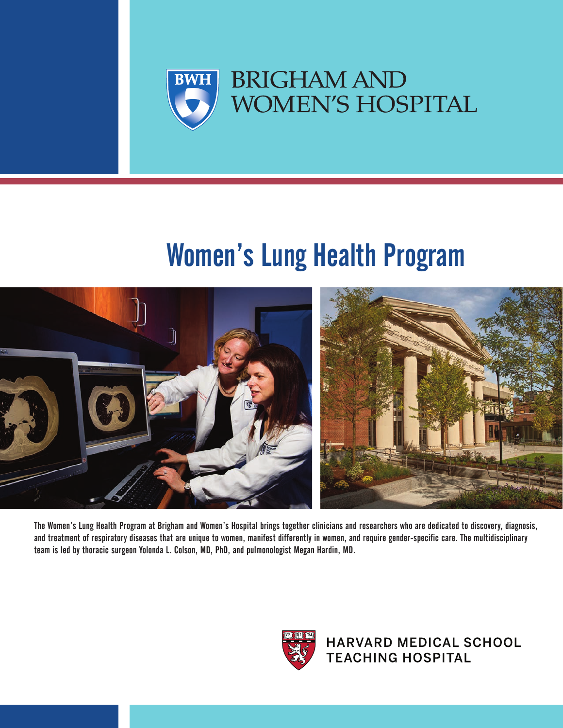

# Women's Lung Health Program



The Women's Lung Health Program at Brigham and Women's Hospital brings together clinicians and researchers who are dedicated to discovery, diagnosis, and treatment of respiratory diseases that are unique to women, manifest differently in women, and require gender-specific care. The multidisciplinary team is led by thoracic surgeon Yolonda L. Colson, MD, PhD, and pulmonologist Megan Hardin, MD.



**HARVARD MEDICAL SCHOOL TEACHING HOSPITAL**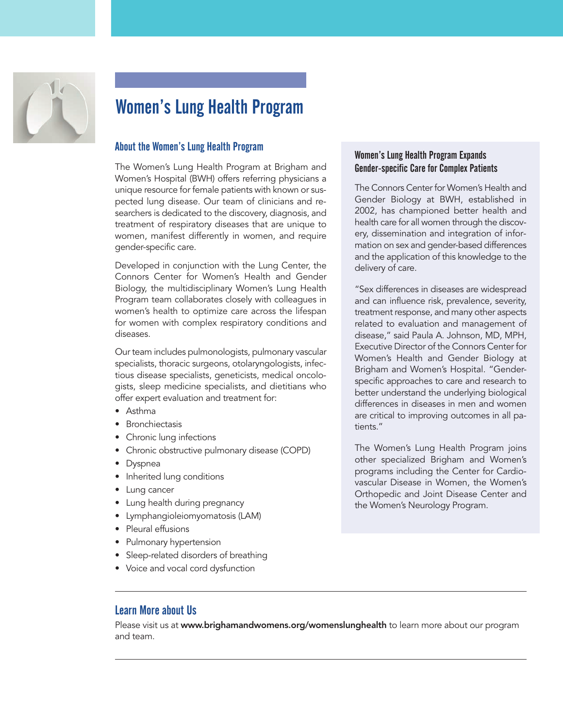

## Women's Lung Health Program

#### About the Women's Lung Health Program

The Women's Lung Health Program at Brigham and Women's Hospital (BWH) offers referring physicians a unique resource for female patients with known or suspected lung disease. Our team of clinicians and researchers is dedicated to the discovery, diagnosis, and treatment of respiratory diseases that are unique to women, manifest differently in women, and require gender-specific care.

Developed in conjunction with the Lung Center, the Connors Center for Women's Health and Gender Biology, the multidisciplinary Women's Lung Health Program team collaborates closely with colleagues in women's health to optimize care across the lifespan for women with complex respiratory conditions and diseases.

Our team includes pulmonologists, pulmonary vascular specialists, thoracic surgeons, otolaryngologists, infectious disease specialists, geneticists, medical oncologists, sleep medicine specialists, and dietitians who offer expert evaluation and treatment for:

- Asthma
- Bronchiectasis
- Chronic lung infections
- Chronic obstructive pulmonary disease (COPD)
- Dyspnea
- Inherited lung conditions
- Lung cancer
- Lung health during pregnancy
- Lymphangioleiomyomatosis (LAM)
- Pleural effusions
- Pulmonary hypertension
- Sleep-related disorders of breathing
- Voice and vocal cord dysfunction

#### Women's Lung Health Program Expands Gender-specific Care for Complex Patients

The Connors Center for Women's Health and Gender Biology at BWH, established in 2002, has championed better health and health care for all women through the discovery, dissemination and integration of information on sex and gender-based differences and the application of this knowledge to the delivery of care.

"Sex differences in diseases are widespread and can influence risk, prevalence, severity, treatment response, and many other aspects related to evaluation and management of disease," said Paula A. Johnson, MD, MPH, Executive Director of the Connors Center for Women's Health and Gender Biology at Brigham and Women's Hospital. "Genderspecific approaches to care and research to better understand the underlying biological differences in diseases in men and women are critical to improving outcomes in all patients."

The Women's Lung Health Program joins other specialized Brigham and Women's programs including the Center for Cardiovascular Disease in Women, the Women's Orthopedic and Joint Disease Center and the Women's Neurology Program.

#### Learn More about Us

Please visit us at **www.brighamandwomens.org/womenslunghealth** to learn more about our program and team.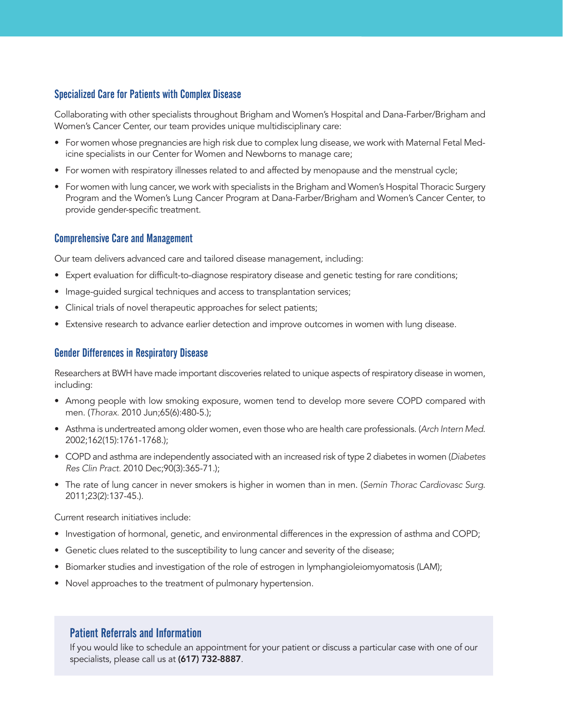#### Specialized Care for Patients with Complex Disease

Collaborating with other specialists throughout Brigham and Women's Hospital and Dana-Farber/Brigham and Women's Cancer Center, our team provides unique multidisciplinary care:

- For women whose pregnancies are high risk due to complex lung disease, we work with Maternal Fetal Medicine specialists in our Center for Women and Newborns to manage care;
- For women with respiratory illnesses related to and affected by menopause and the menstrual cycle;
- For women with lung cancer, we work with specialists in the Brigham and Women's Hospital Thoracic Surgery Program and the Women's Lung Cancer Program at Dana-Farber/Brigham and Women's Cancer Center, to provide gender-specific treatment.

#### Comprehensive Care and Management

Our team delivers advanced care and tailored disease management, including:

- Expert evaluation for difficult-to-diagnose respiratory disease and genetic testing for rare conditions;
- Image-guided surgical techniques and access to transplantation services;
- Clinical trials of novel therapeutic approaches for select patients;
- Extensive research to advance earlier detection and improve outcomes in women with lung disease.

#### Gender Differences in Respiratory Disease

Researchers at BWH have made important discoveries related to unique aspects of respiratory disease in women, including:

- Among people with low smoking exposure, women tend to develop more severe COPD compared with men. (Thorax. 2010 Jun;65(6):480-5.);
- Asthma is undertreated among older women, even those who are health care professionals. (Arch Intern Med. 2002;162(15):1761-1768.);
- COPD and asthma are independently associated with an increased risk of type 2 diabetes in women (Diabetes Res Clin Pract. 2010 Dec;90(3):365-71.);
- The rate of lung cancer in never smokers is higher in women than in men. (Semin Thorac Cardiovasc Surg. 2011;23(2):137-45.).

Current research initiatives include:

- Investigation of hormonal, genetic, and environmental differences in the expression of asthma and COPD;
- Genetic clues related to the susceptibility to lung cancer and severity of the disease;
- Biomarker studies and investigation of the role of estrogen in lymphangioleiomyomatosis (LAM);
- Novel approaches to the treatment of pulmonary hypertension.

#### Patient Referrals and Information

If you would like to schedule an appointment for your patient or discuss a particular case with one of our specialists, please call us at **(617) 732-8887**.